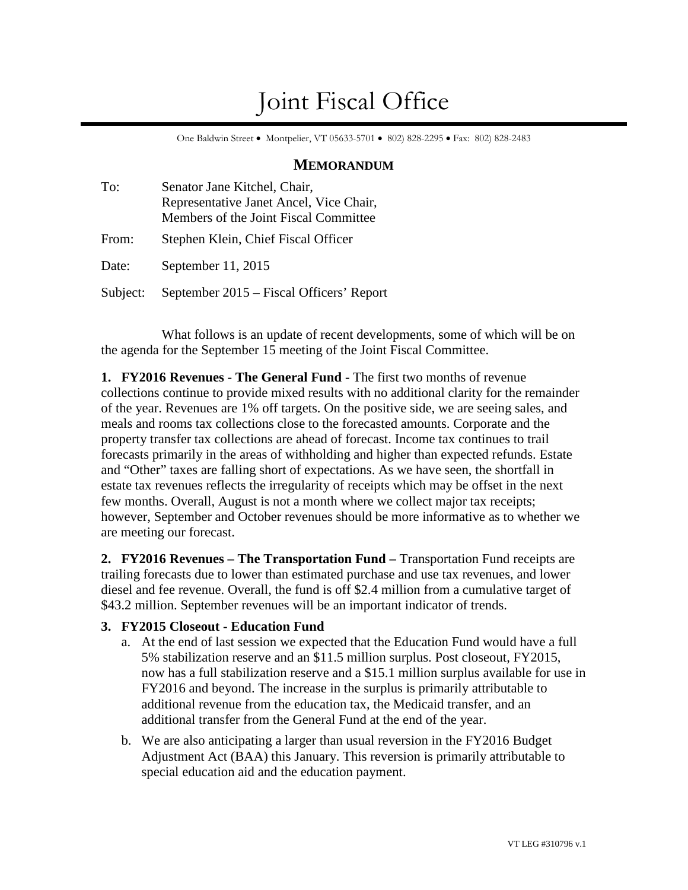# Joint Fiscal Office

One Baldwin Street • Montpelier, VT 05633-5701 • 802) 828-2295 • Fax: 802) 828-2483

## **MEMORANDUM**

| To:      | Senator Jane Kitchel, Chair,<br>Representative Janet Ancel, Vice Chair,<br>Members of the Joint Fiscal Committee |
|----------|------------------------------------------------------------------------------------------------------------------|
| From:    | Stephen Klein, Chief Fiscal Officer                                                                              |
| Date:    | September 11, 2015                                                                                               |
| Subject: | September 2015 – Fiscal Officers' Report                                                                         |

What follows is an update of recent developments, some of which will be on the agenda for the September 15 meeting of the Joint Fiscal Committee.

**1. FY2016 Revenues - The General Fund -** The first two months of revenue collections continue to provide mixed results with no additional clarity for the remainder of the year. Revenues are 1% off targets. On the positive side, we are seeing sales, and meals and rooms tax collections close to the forecasted amounts. Corporate and the property transfer tax collections are ahead of forecast. Income tax continues to trail forecasts primarily in the areas of withholding and higher than expected refunds. Estate and "Other" taxes are falling short of expectations. As we have seen, the shortfall in estate tax revenues reflects the irregularity of receipts which may be offset in the next few months. Overall, August is not a month where we collect major tax receipts; however, September and October revenues should be more informative as to whether we are meeting our forecast.

**2. FY2016 Revenues – The Transportation Fund –** Transportation Fund receipts are trailing forecasts due to lower than estimated purchase and use tax revenues, and lower diesel and fee revenue. Overall, the fund is off \$2.4 million from a cumulative target of \$43.2 million. September revenues will be an important indicator of trends.

## **3. FY2015 Closeout - Education Fund**

- a. At the end of last session we expected that the Education Fund would have a full 5% stabilization reserve and an \$11.5 million surplus. Post closeout, FY2015, now has a full stabilization reserve and a \$15.1 million surplus available for use in FY2016 and beyond. The increase in the surplus is primarily attributable to additional revenue from the education tax, the Medicaid transfer, and an additional transfer from the General Fund at the end of the year.
- b. We are also anticipating a larger than usual reversion in the FY2016 Budget Adjustment Act (BAA) this January. This reversion is primarily attributable to special education aid and the education payment.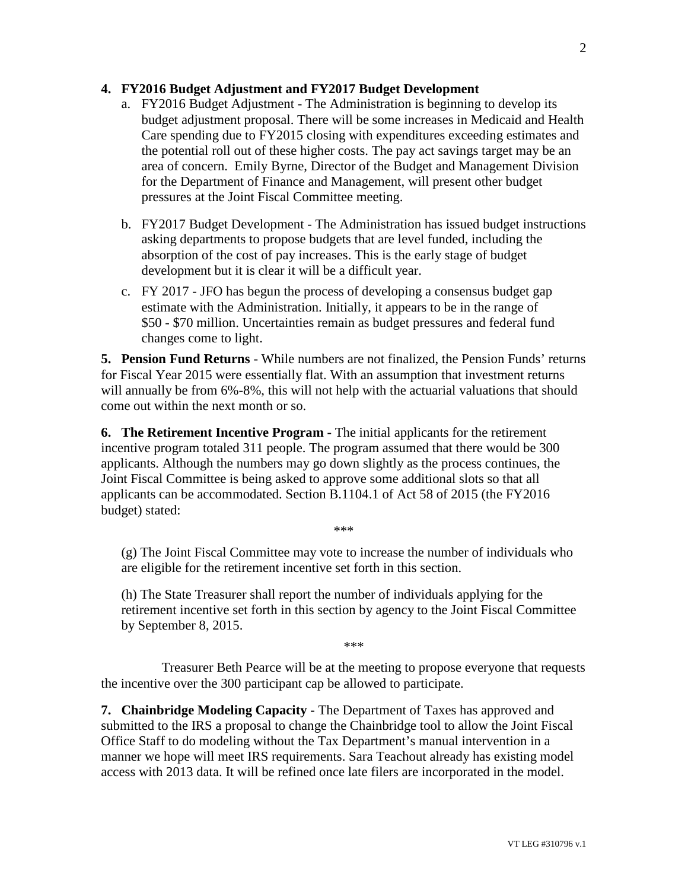#### **4. FY2016 Budget Adjustment and FY2017 Budget Development**

- a. FY2016 Budget Adjustment The Administration is beginning to develop its budget adjustment proposal. There will be some increases in Medicaid and Health Care spending due to FY2015 closing with expenditures exceeding estimates and the potential roll out of these higher costs. The pay act savings target may be an area of concern. Emily Byrne, Director of the Budget and Management Division for the Department of Finance and Management, will present other budget pressures at the Joint Fiscal Committee meeting.
- b. FY2017 Budget Development The Administration has issued budget instructions asking departments to propose budgets that are level funded, including the absorption of the cost of pay increases. This is the early stage of budget development but it is clear it will be a difficult year.
- c. FY 2017 JFO has begun the process of developing a consensus budget gap estimate with the Administration. Initially, it appears to be in the range of \$50 - \$70 million. Uncertainties remain as budget pressures and federal fund changes come to light.

**5. Pension Fund Returns** - While numbers are not finalized, the Pension Funds' returns for Fiscal Year 2015 were essentially flat. With an assumption that investment returns will annually be from  $6\% - 8\%$ , this will not help with the actuarial valuations that should come out within the next month or so.

**6. The Retirement Incentive Program -** The initial applicants for the retirement incentive program totaled 311 people. The program assumed that there would be 300 applicants. Although the numbers may go down slightly as the process continues, the Joint Fiscal Committee is being asked to approve some additional slots so that all applicants can be accommodated. Section B.1104.1 of Act 58 of 2015 (the FY2016 budget) stated:

\*\*\*

(g) The Joint Fiscal Committee may vote to increase the number of individuals who are eligible for the retirement incentive set forth in this section.

(h) The State Treasurer shall report the number of individuals applying for the retirement incentive set forth in this section by agency to the Joint Fiscal Committee by September 8, 2015.

\*\*\*

Treasurer Beth Pearce will be at the meeting to propose everyone that requests the incentive over the 300 participant cap be allowed to participate.

**7. Chainbridge Modeling Capacity -** The Department of Taxes has approved and submitted to the IRS a proposal to change the Chainbridge tool to allow the Joint Fiscal Office Staff to do modeling without the Tax Department's manual intervention in a manner we hope will meet IRS requirements. Sara Teachout already has existing model access with 2013 data. It will be refined once late filers are incorporated in the model.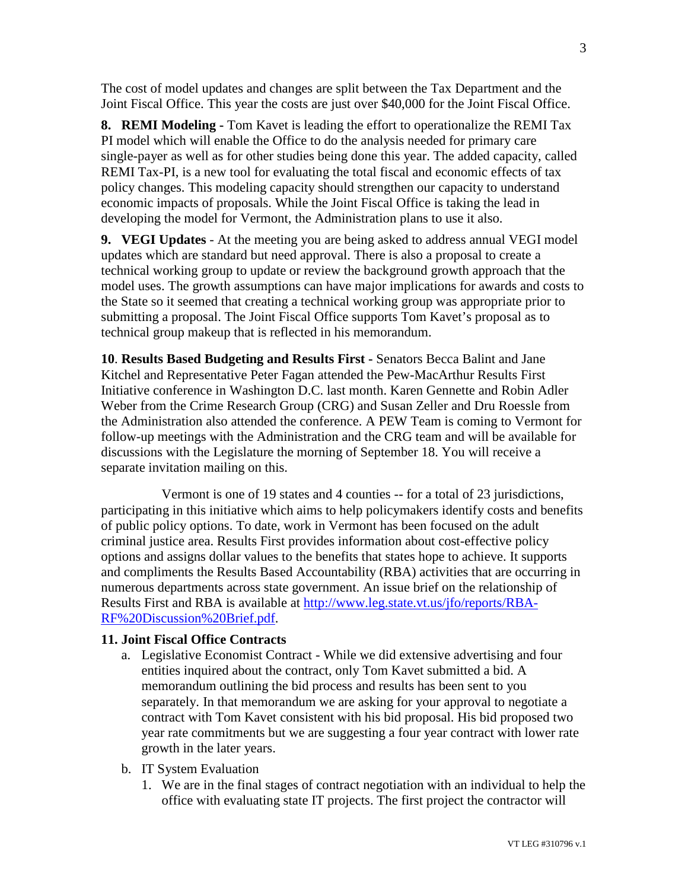The cost of model updates and changes are split between the Tax Department and the Joint Fiscal Office. This year the costs are just over \$40,000 for the Joint Fiscal Office.

**8. REMI Modeling -** Tom Kavet is leading the effort to operationalize the REMI Tax PI model which will enable the Office to do the analysis needed for primary care single-payer as well as for other studies being done this year. The added capacity, called REMI Tax-PI, is a new tool for evaluating the total fiscal and economic effects of tax policy changes. This modeling capacity should strengthen our capacity to understand economic impacts of proposals. While the Joint Fiscal Office is taking the lead in developing the model for Vermont, the Administration plans to use it also.

**9. VEGI Updates** - At the meeting you are being asked to address annual VEGI model updates which are standard but need approval. There is also a proposal to create a technical working group to update or review the background growth approach that the model uses. The growth assumptions can have major implications for awards and costs to the State so it seemed that creating a technical working group was appropriate prior to submitting a proposal. The Joint Fiscal Office supports Tom Kavet's proposal as to technical group makeup that is reflected in his memorandum.

**10**. **Results Based Budgeting and Results First -** Senators Becca Balint and Jane Kitchel and Representative Peter Fagan attended the Pew-MacArthur Results First Initiative conference in Washington D.C. last month. Karen Gennette and Robin Adler Weber from the Crime Research Group (CRG) and Susan Zeller and Dru Roessle from the Administration also attended the conference. A PEW Team is coming to Vermont for follow-up meetings with the Administration and the CRG team and will be available for discussions with the Legislature the morning of September 18. You will receive a separate invitation mailing on this.

Vermont is one of 19 states and 4 counties -- for a total of 23 jurisdictions, participating in this initiative which aims to help policymakers identify costs and benefits of public policy options. To date, work in Vermont has been focused on the adult criminal justice area. Results First provides information about cost-effective policy options and assigns dollar values to the benefits that states hope to achieve. It supports and compliments the Results Based Accountability (RBA) activities that are occurring in numerous departments across state government. An issue brief on the relationship of Results First and RBA is available at [http://www.leg.state.vt.us/jfo/reports/RBA-](http://www.leg.state.vt.us/jfo/reports/RBA-RF Discussion Brief.pdf)[RF%20Discussion%20Brief.pdf.](http://www.leg.state.vt.us/jfo/reports/RBA-RF Discussion Brief.pdf)

## **11. Joint Fiscal Office Contracts**

- a. Legislative Economist Contract While we did extensive advertising and four entities inquired about the contract, only Tom Kavet submitted a bid. A memorandum outlining the bid process and results has been sent to you separately. In that memorandum we are asking for your approval to negotiate a contract with Tom Kavet consistent with his bid proposal. His bid proposed two year rate commitments but we are suggesting a four year contract with lower rate growth in the later years.
- b. IT System Evaluation
	- 1. We are in the final stages of contract negotiation with an individual to help the office with evaluating state IT projects. The first project the contractor will